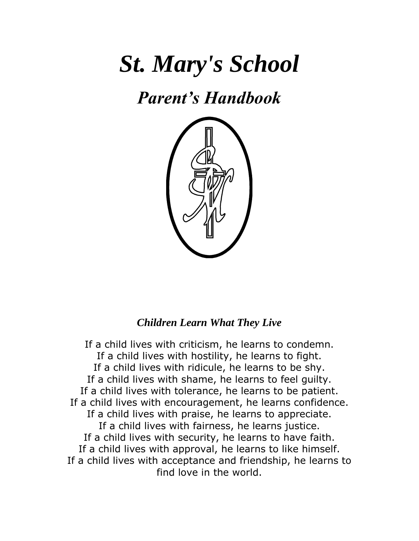# *St. Mary's School*

## *Parent's Handbook*



### *Children Learn What They Live*

If a child lives with criticism, he learns to condemn. If a child lives with hostility, he learns to fight. If a child lives with ridicule, he learns to be shy. If a child lives with shame, he learns to feel guilty. If a child lives with tolerance, he learns to be patient. If a child lives with encouragement, he learns confidence. If a child lives with praise, he learns to appreciate. If a child lives with fairness, he learns justice. If a child lives with security, he learns to have faith. If a child lives with approval, he learns to like himself. If a child lives with acceptance and friendship, he learns to find love in the world.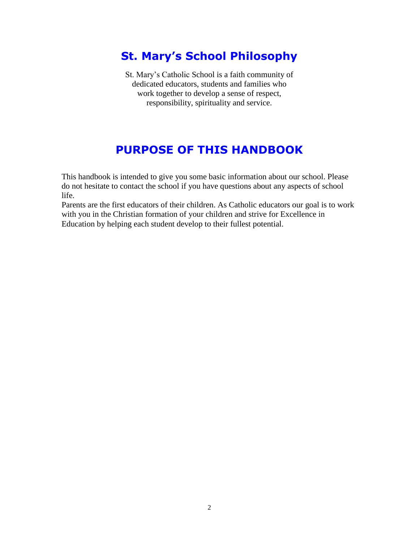## **St. Mary's School Philosophy**

St. Mary's Catholic School is a faith community of dedicated educators, students and families who work together to develop a sense of respect, responsibility, spirituality and service.

## **PURPOSE OF THIS HANDBOOK**

This handbook is intended to give you some basic information about our school. Please do not hesitate to contact the school if you have questions about any aspects of school life.

Parents are the first educators of their children. As Catholic educators our goal is to work with you in the Christian formation of your children and strive for Excellence in Education by helping each student develop to their fullest potential.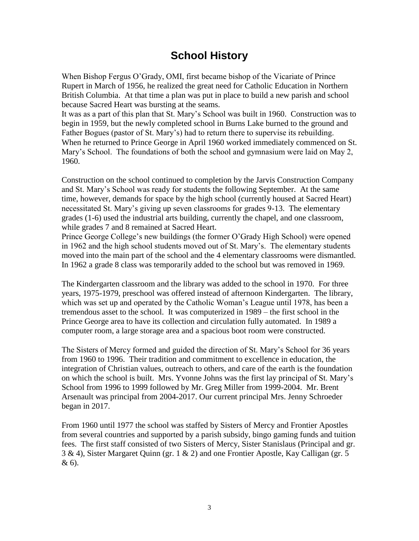## **School History**

When Bishop Fergus O'Grady, OMI, first became bishop of the Vicariate of Prince Rupert in March of 1956, he realized the great need for Catholic Education in Northern British Columbia. At that time a plan was put in place to build a new parish and school because Sacred Heart was bursting at the seams.

It was as a part of this plan that St. Mary's School was built in 1960. Construction was to begin in 1959, but the newly completed school in Burns Lake burned to the ground and Father Bogues (pastor of St. Mary's) had to return there to supervise its rebuilding. When he returned to Prince George in April 1960 worked immediately commenced on St. Mary's School. The foundations of both the school and gymnasium were laid on May 2, 1960.

Construction on the school continued to completion by the Jarvis Construction Company and St. Mary's School was ready for students the following September. At the same time, however, demands for space by the high school (currently housed at Sacred Heart) necessitated St. Mary's giving up seven classrooms for grades 9-13. The elementary grades (1-6) used the industrial arts building, currently the chapel, and one classroom, while grades 7 and 8 remained at Sacred Heart.

Prince George College's new buildings (the former O'Grady High School) were opened in 1962 and the high school students moved out of St. Mary's. The elementary students moved into the main part of the school and the 4 elementary classrooms were dismantled. In 1962 a grade 8 class was temporarily added to the school but was removed in 1969.

The Kindergarten classroom and the library was added to the school in 1970. For three years, 1975-1979, preschool was offered instead of afternoon Kindergarten. The library, which was set up and operated by the Catholic Woman's League until 1978, has been a tremendous asset to the school. It was computerized in 1989 – the first school in the Prince George area to have its collection and circulation fully automated. In 1989 a computer room, a large storage area and a spacious boot room were constructed.

The Sisters of Mercy formed and guided the direction of St. Mary's School for 36 years from 1960 to 1996. Their tradition and commitment to excellence in education, the integration of Christian values, outreach to others, and care of the earth is the foundation on which the school is built. Mrs. Yvonne Johns was the first lay principal of St. Mary's School from 1996 to 1999 followed by Mr. Greg Miller from 1999-2004. Mr. Brent Arsenault was principal from 2004-2017. Our current principal Mrs. Jenny Schroeder began in 2017.

From 1960 until 1977 the school was staffed by Sisters of Mercy and Frontier Apostles from several countries and supported by a parish subsidy, bingo gaming funds and tuition fees. The first staff consisted of two Sisters of Mercy, Sister Stanislaus (Principal and gr. 3 & 4), Sister Margaret Quinn (gr. 1 & 2) and one Frontier Apostle, Kay Calligan (gr. 5 & 6).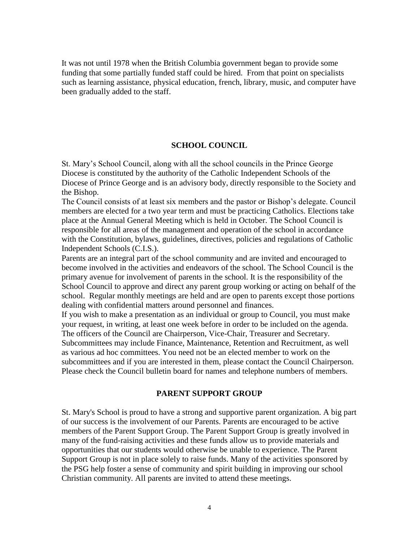It was not until 1978 when the British Columbia government began to provide some funding that some partially funded staff could be hired. From that point on specialists such as learning assistance, physical education, french, library, music, and computer have been gradually added to the staff.

#### **SCHOOL COUNCIL**

St. Mary's School Council, along with all the school councils in the Prince George Diocese is constituted by the authority of the Catholic Independent Schools of the Diocese of Prince George and is an advisory body, directly responsible to the Society and the Bishop.

The Council consists of at least six members and the pastor or Bishop's delegate. Council members are elected for a two year term and must be practicing Catholics. Elections take place at the Annual General Meeting which is held in October. The School Council is responsible for all areas of the management and operation of the school in accordance with the Constitution, bylaws, guidelines, directives, policies and regulations of Catholic Independent Schools (C.I.S.).

Parents are an integral part of the school community and are invited and encouraged to become involved in the activities and endeavors of the school. The School Council is the primary avenue for involvement of parents in the school. It is the responsibility of the School Council to approve and direct any parent group working or acting on behalf of the school. Regular monthly meetings are held and are open to parents except those portions dealing with confidential matters around personnel and finances.

If you wish to make a presentation as an individual or group to Council, you must make your request, in writing, at least one week before in order to be included on the agenda. The officers of the Council are Chairperson, Vice-Chair, Treasurer and Secretary. Subcommittees may include Finance, Maintenance, Retention and Recruitment, as well as various ad hoc committees. You need not be an elected member to work on the subcommittees and if you are interested in them, please contact the Council Chairperson. Please check the Council bulletin board for names and telephone numbers of members.

#### **PARENT SUPPORT GROUP**

St. Mary's School is proud to have a strong and supportive parent organization. A big part of our success is the involvement of our Parents. Parents are encouraged to be active members of the Parent Support Group. The Parent Support Group is greatly involved in many of the fund-raising activities and these funds allow us to provide materials and opportunities that our students would otherwise be unable to experience. The Parent Support Group is not in place solely to raise funds. Many of the activities sponsored by the PSG help foster a sense of community and spirit building in improving our school Christian community. All parents are invited to attend these meetings.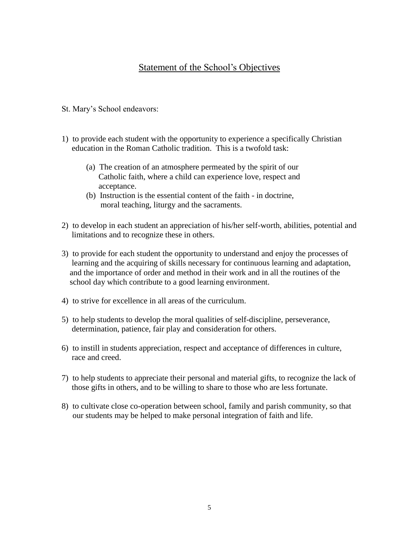#### Statement of the School's Objectives

- St. Mary's School endeavors:
- 1) to provide each student with the opportunity to experience a specifically Christian education in the Roman Catholic tradition. This is a twofold task:
	- (a) The creation of an atmosphere permeated by the spirit of our Catholic faith, where a child can experience love, respect and acceptance.
	- (b) Instruction is the essential content of the faith in doctrine, moral teaching, liturgy and the sacraments.
- 2) to develop in each student an appreciation of his/her self-worth, abilities, potential and limitations and to recognize these in others.
- 3) to provide for each student the opportunity to understand and enjoy the processes of learning and the acquiring of skills necessary for continuous learning and adaptation, and the importance of order and method in their work and in all the routines of the school day which contribute to a good learning environment.
- 4) to strive for excellence in all areas of the curriculum.
- 5) to help students to develop the moral qualities of self-discipline, perseverance, determination, patience, fair play and consideration for others.
- 6) to instill in students appreciation, respect and acceptance of differences in culture, race and creed.
- 7) to help students to appreciate their personal and material gifts, to recognize the lack of those gifts in others, and to be willing to share to those who are less fortunate.
- 8) to cultivate close co-operation between school, family and parish community, so that our students may be helped to make personal integration of faith and life.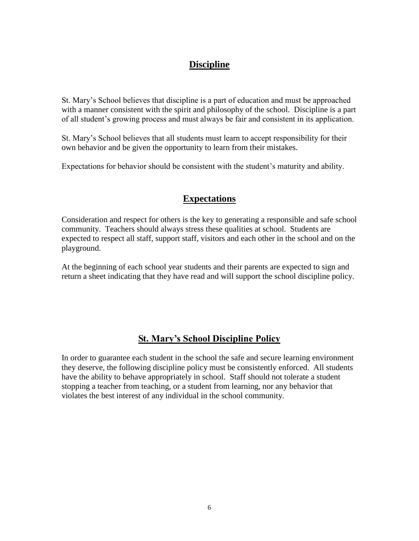#### **Discipline**

St. Mary's School believes that discipline is a part of education and must be approached with a manner consistent with the spirit and philosophy of the school. Discipline is a part of all student's growing process and must always be fair and consistent in its application.

St. Mary's School believes that all students must learn to accept responsibility for their own behavior and be given the opportunity to learn from their mistakes.

Expectations for behavior should be consistent with the student's maturity and ability.

#### **Expectations**

Consideration and respect for others is the key to generating a responsible and safe school community. Teachers should always stress these qualities at school. Students are expected to respect all staff, support staff, visitors and each other in the school and on the playground.

At the beginning of each school year students and their parents are expected to sign and return a sheet indicating that they have read and will support the school discipline policy.

#### **St. Mary's School Discipline Policy**

In order to guarantee each student in the school the safe and secure learning environment they deserve, the following discipline policy must be consistently enforced. All students have the ability to behave appropriately in school. Staff should not tolerate a student stopping a teacher from teaching, or a student from learning, nor any behavior that violates the best interest of any individual in the school community.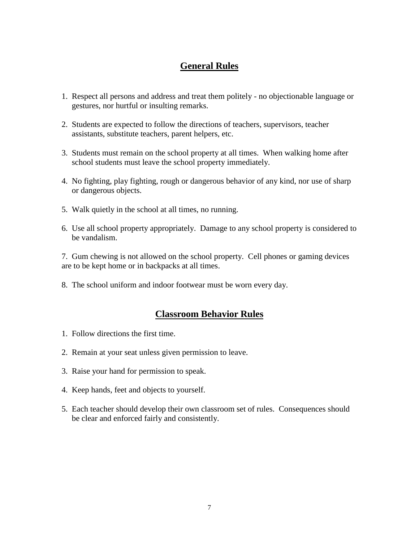#### **General Rules**

- 1. Respect all persons and address and treat them politely no objectionable language or gestures, nor hurtful or insulting remarks.
- 2. Students are expected to follow the directions of teachers, supervisors, teacher assistants, substitute teachers, parent helpers, etc.
- 3. Students must remain on the school property at all times. When walking home after school students must leave the school property immediately.
- 4. No fighting, play fighting, rough or dangerous behavior of any kind, nor use of sharp or dangerous objects.
- 5. Walk quietly in the school at all times, no running.
- 6. Use all school property appropriately. Damage to any school property is considered to be vandalism.

7. Gum chewing is not allowed on the school property. Cell phones or gaming devices are to be kept home or in backpacks at all times.

8. The school uniform and indoor footwear must be worn every day.

#### **Classroom Behavior Rules**

- 1. Follow directions the first time.
- 2. Remain at your seat unless given permission to leave.
- 3. Raise your hand for permission to speak.
- 4. Keep hands, feet and objects to yourself.
- 5. Each teacher should develop their own classroom set of rules. Consequences should be clear and enforced fairly and consistently.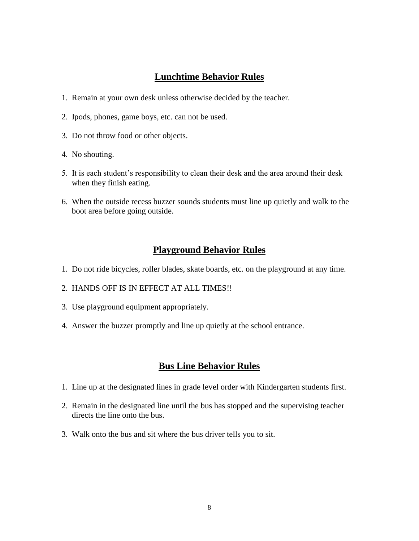#### **Lunchtime Behavior Rules**

- 1. Remain at your own desk unless otherwise decided by the teacher.
- 2. Ipods, phones, game boys, etc. can not be used.
- 3. Do not throw food or other objects.
- 4. No shouting.
- 5. It is each student's responsibility to clean their desk and the area around their desk when they finish eating.
- 6. When the outside recess buzzer sounds students must line up quietly and walk to the boot area before going outside.

#### **Playground Behavior Rules**

- 1. Do not ride bicycles, roller blades, skate boards, etc. on the playground at any time.
- 2. HANDS OFF IS IN EFFECT AT ALL TIMES!!
- 3. Use playground equipment appropriately.
- 4. Answer the buzzer promptly and line up quietly at the school entrance.

#### **Bus Line Behavior Rules**

- 1. Line up at the designated lines in grade level order with Kindergarten students first.
- 2. Remain in the designated line until the bus has stopped and the supervising teacher directs the line onto the bus.
- 3. Walk onto the bus and sit where the bus driver tells you to sit.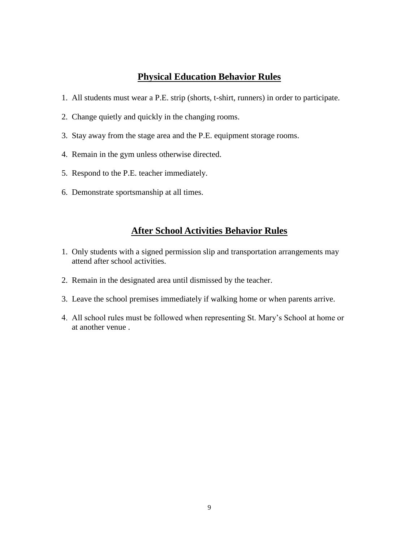#### **Physical Education Behavior Rules**

- 1. All students must wear a P.E. strip (shorts, t-shirt, runners) in order to participate.
- 2. Change quietly and quickly in the changing rooms.
- 3. Stay away from the stage area and the P.E. equipment storage rooms.
- 4. Remain in the gym unless otherwise directed.
- 5. Respond to the P.E. teacher immediately.
- 6. Demonstrate sportsmanship at all times.

#### **After School Activities Behavior Rules**

- 1. Only students with a signed permission slip and transportation arrangements may attend after school activities.
- 2. Remain in the designated area until dismissed by the teacher.
- 3. Leave the school premises immediately if walking home or when parents arrive.
- 4. All school rules must be followed when representing St. Mary's School at home or at another venue .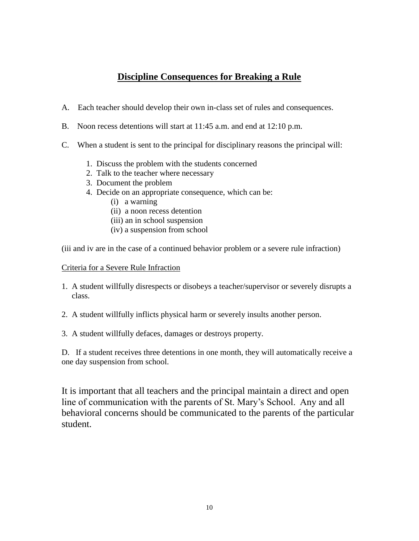#### **Discipline Consequences for Breaking a Rule**

- A. Each teacher should develop their own in-class set of rules and consequences.
- B. Noon recess detentions will start at 11:45 a.m. and end at 12:10 p.m.
- C. When a student is sent to the principal for disciplinary reasons the principal will:
	- 1. Discuss the problem with the students concerned
	- 2. Talk to the teacher where necessary
	- 3. Document the problem
	- 4. Decide on an appropriate consequence, which can be:
		- (i) a warning
		- (ii) a noon recess detention
		- (iii) an in school suspension
		- (iv) a suspension from school

(iii and iv are in the case of a continued behavior problem or a severe rule infraction)

#### Criteria for a Severe Rule Infraction

- 1. A student willfully disrespects or disobeys a teacher/supervisor or severely disrupts a class.
- 2. A student willfully inflicts physical harm or severely insults another person.
- 3. A student willfully defaces, damages or destroys property.

D. If a student receives three detentions in one month, they will automatically receive a one day suspension from school.

It is important that all teachers and the principal maintain a direct and open line of communication with the parents of St. Mary's School. Any and all behavioral concerns should be communicated to the parents of the particular student.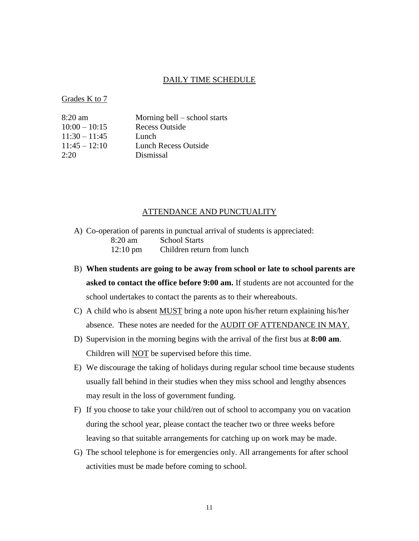#### DAILY TIME SCHEDULE

Grades K to 7

| 8:20 am         | Morning bell $-$ school starts |
|-----------------|--------------------------------|
| $10:00 - 10:15$ | <b>Recess Outside</b>          |
| $11:30 - 11:45$ | Lunch                          |
| $11:45 - 12:10$ | <b>Lunch Recess Outside</b>    |
| 2:20            | Dismissal                      |

#### ATTENDANCE AND PUNCTUALITY

- A) Co-operation of parents in punctual arrival of students is appreciated: 8:20 am School Starts 12:10 pm Children return from lunch
- B) **When students are going to be away from school or late to school parents are asked to contact the office before 9:00 am.** If students are not accounted for the school undertakes to contact the parents as to their whereabouts.
- C) A child who is absent MUST bring a note upon his/her return explaining his/her absence. These notes are needed for the AUDIT OF ATTENDANCE IN MAY.
- D) Supervision in the morning begins with the arrival of the first bus at **8:00 am**. Children will NOT be supervised before this time.
- E) We discourage the taking of holidays during regular school time because students usually fall behind in their studies when they miss school and lengthy absences may result in the loss of government funding.
- F) If you choose to take your child/ren out of school to accompany you on vacation during the school year, please contact the teacher two or three weeks before leaving so that suitable arrangements for catching up on work may be made.
- G) The school telephone is for emergencies only. All arrangements for after school activities must be made before coming to school.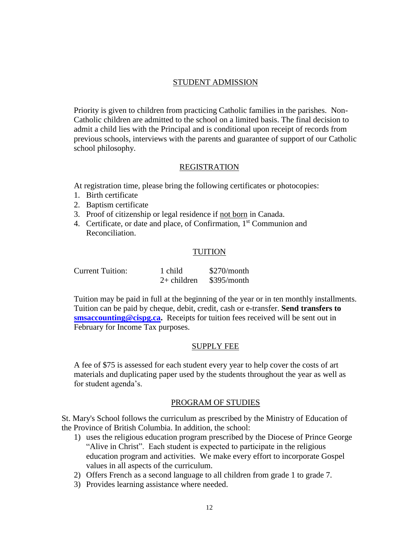#### STUDENT ADMISSION

Priority is given to children from practicing Catholic families in the parishes. Non-Catholic children are admitted to the school on a limited basis. The final decision to admit a child lies with the Principal and is conditional upon receipt of records from previous schools, interviews with the parents and guarantee of support of our Catholic school philosophy.

#### REGISTRATION

At registration time, please bring the following certificates or photocopies:

- 1. Birth certificate
- 2. Baptism certificate
- 3. Proof of citizenship or legal residence if not born in Canada.
- 4. Certificate, or date and place, of Confirmation, 1<sup>st</sup> Communion and Reconciliation.

#### TUITION

| <b>Current Tuition:</b> | 1 child       | \$270/month |
|-------------------------|---------------|-------------|
|                         | $2+$ children | \$395/month |

Tuition may be paid in full at the beginning of the year or in ten monthly installments. Tuition can be paid by cheque, debit, credit, cash or e-transfer. **Send transfers to [smsaccounting@cispg.ca.](mailto:smsaccounting@cispg.ca)** Receipts for tuition fees received will be sent out in February for Income Tax purposes.

#### SUPPLY FEE

A fee of \$75 is assessed for each student every year to help cover the costs of art materials and duplicating paper used by the students throughout the year as well as for student agenda's.

#### PROGRAM OF STUDIES

St. Mary's School follows the curriculum as prescribed by the Ministry of Education of the Province of British Columbia. In addition, the school:

- 1) uses the religious education program prescribed by the Diocese of Prince George "Alive in Christ". Each student is expected to participate in the religious education program and activities. We make every effort to incorporate Gospel values in all aspects of the curriculum.
- 2) Offers French as a second language to all children from grade 1 to grade 7.
- 3) Provides learning assistance where needed.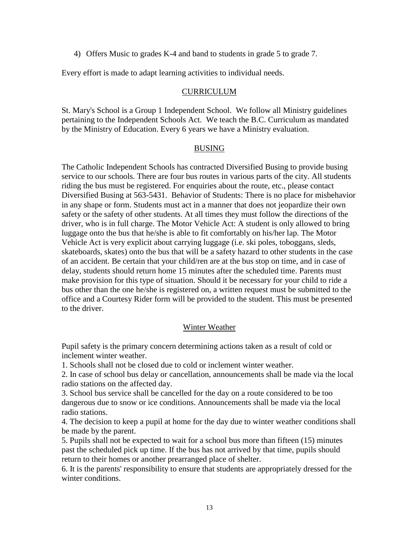4) Offers Music to grades K-4 and band to students in grade 5 to grade 7.

Every effort is made to adapt learning activities to individual needs.

#### CURRICULUM

St. Mary's School is a Group 1 Independent School. We follow all Ministry guidelines pertaining to the Independent Schools Act. We teach the B.C. Curriculum as mandated by the Ministry of Education. Every 6 years we have a Ministry evaluation.

#### BUSING

The Catholic Independent Schools has contracted Diversified Busing to provide busing service to our schools. There are four bus routes in various parts of the city. All students riding the bus must be registered. For enquiries about the route, etc., please contact Diversified Busing at 563-5431. Behavior of Students: There is no place for misbehavior in any shape or form. Students must act in a manner that does not jeopardize their own safety or the safety of other students. At all times they must follow the directions of the driver, who is in full charge. The Motor Vehicle Act: A student is only allowed to bring luggage onto the bus that he/she is able to fit comfortably on his/her lap. The Motor Vehicle Act is very explicit about carrying luggage (i.e. ski poles, toboggans, sleds, skateboards, skates) onto the bus that will be a safety hazard to other students in the case of an accident. Be certain that your child/ren are at the bus stop on time, and in case of delay, students should return home 15 minutes after the scheduled time. Parents must make provision for this type of situation. Should it be necessary for your child to ride a bus other than the one he/she is registered on, a written request must be submitted to the office and a Courtesy Rider form will be provided to the student. This must be presented to the driver.

#### Winter Weather

Pupil safety is the primary concern determining actions taken as a result of cold or inclement winter weather.

1. Schools shall not be closed due to cold or inclement winter weather.

2. In case of school bus delay or cancellation, announcements shall be made via the local radio stations on the affected day.

3. School bus service shall be cancelled for the day on a route considered to be too dangerous due to snow or ice conditions. Announcements shall be made via the local radio stations.

4. The decision to keep a pupil at home for the day due to winter weather conditions shall be made by the parent.

5. Pupils shall not be expected to wait for a school bus more than fifteen (15) minutes past the scheduled pick up time. If the bus has not arrived by that time, pupils should return to their homes or another prearranged place of shelter.

6. It is the parents' responsibility to ensure that students are appropriately dressed for the winter conditions.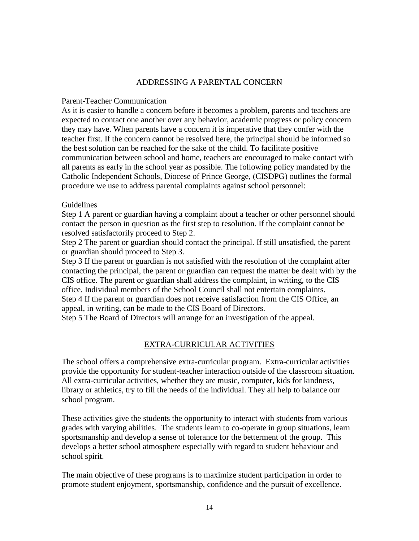#### ADDRESSING A PARENTAL CONCERN

#### Parent-Teacher Communication

As it is easier to handle a concern before it becomes a problem, parents and teachers are expected to contact one another over any behavior, academic progress or policy concern they may have. When parents have a concern it is imperative that they confer with the teacher first. If the concern cannot be resolved here, the principal should be informed so the best solution can be reached for the sake of the child. To facilitate positive communication between school and home, teachers are encouraged to make contact with all parents as early in the school year as possible. The following policy mandated by the Catholic Independent Schools, Diocese of Prince George, (CISDPG) outlines the formal procedure we use to address parental complaints against school personnel:

#### Guidelines

Step 1 A parent or guardian having a complaint about a teacher or other personnel should contact the person in question as the first step to resolution. If the complaint cannot be resolved satisfactorily proceed to Step 2.

Step 2 The parent or guardian should contact the principal. If still unsatisfied, the parent or guardian should proceed to Step 3.

Step 3 If the parent or guardian is not satisfied with the resolution of the complaint after contacting the principal, the parent or guardian can request the matter be dealt with by the CIS office. The parent or guardian shall address the complaint, in writing, to the CIS office. Individual members of the School Council shall not entertain complaints. Step 4 If the parent or guardian does not receive satisfaction from the CIS Office, an appeal, in writing, can be made to the CIS Board of Directors.

Step 5 The Board of Directors will arrange for an investigation of the appeal.

#### EXTRA-CURRICULAR ACTIVITIES

The school offers a comprehensive extra-curricular program. Extra-curricular activities provide the opportunity for student-teacher interaction outside of the classroom situation. All extra-curricular activities, whether they are music, computer, kids for kindness, library or athletics, try to fill the needs of the individual. They all help to balance our school program.

These activities give the students the opportunity to interact with students from various grades with varying abilities. The students learn to co-operate in group situations, learn sportsmanship and develop a sense of tolerance for the betterment of the group. This develops a better school atmosphere especially with regard to student behaviour and school spirit.

The main objective of these programs is to maximize student participation in order to promote student enjoyment, sportsmanship, confidence and the pursuit of excellence.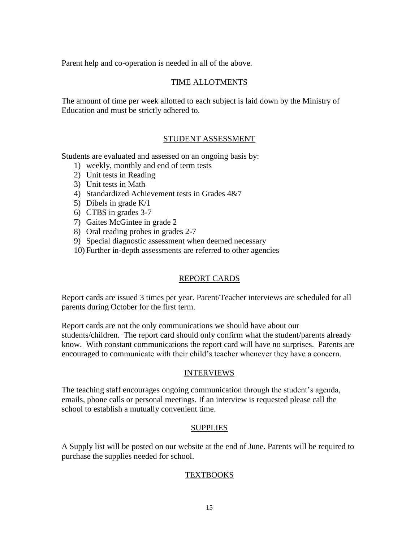Parent help and co-operation is needed in all of the above.

#### TIME ALLOTMENTS

The amount of time per week allotted to each subject is laid down by the Ministry of Education and must be strictly adhered to.

#### STUDENT ASSESSMENT

Students are evaluated and assessed on an ongoing basis by:

- 1) weekly, monthly and end of term tests
- 2) Unit tests in Reading
- 3) Unit tests in Math
- 4) Standardized Achievement tests in Grades 4&7
- 5) Dibels in grade K/1
- 6) CTBS in grades 3-7
- 7) Gaites McGintee in grade 2
- 8) Oral reading probes in grades 2-7
- 9) Special diagnostic assessment when deemed necessary
- 10) Further in-depth assessments are referred to other agencies

#### REPORT CARDS

Report cards are issued 3 times per year. Parent/Teacher interviews are scheduled for all parents during October for the first term.

Report cards are not the only communications we should have about our students/children. The report card should only confirm what the student/parents already know. With constant communications the report card will have no surprises. Parents are encouraged to communicate with their child's teacher whenever they have a concern.

#### **INTERVIEWS**

The teaching staff encourages ongoing communication through the student's agenda, emails, phone calls or personal meetings. If an interview is requested please call the school to establish a mutually convenient time.

#### **SUPPLIES**

A Supply list will be posted on our website at the end of June. Parents will be required to purchase the supplies needed for school.

#### TEXTBOOKS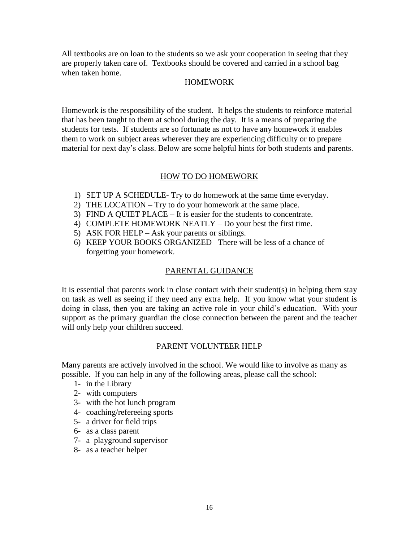All textbooks are on loan to the students so we ask your cooperation in seeing that they are properly taken care of. Textbooks should be covered and carried in a school bag when taken home.

#### HOMEWORK

Homework is the responsibility of the student. It helps the students to reinforce material that has been taught to them at school during the day. It is a means of preparing the students for tests. If students are so fortunate as not to have any homework it enables them to work on subject areas wherever they are experiencing difficulty or to prepare material for next day's class. Below are some helpful hints for both students and parents.

#### HOW TO DO HOMEWORK

- 1) SET UP A SCHEDULE- Try to do homework at the same time everyday.
- 2) THE LOCATION Try to do your homework at the same place.
- 3) FIND A QUIET PLACE It is easier for the students to concentrate.
- 4) COMPLETE HOMEWORK NEATLY Do your best the first time.
- 5) ASK FOR HELP Ask your parents or siblings.
- 6) KEEP YOUR BOOKS ORGANIZED –There will be less of a chance of forgetting your homework.

#### PARENTAL GUIDANCE

It is essential that parents work in close contact with their student(s) in helping them stay on task as well as seeing if they need any extra help. If you know what your student is doing in class, then you are taking an active role in your child's education. With your support as the primary guardian the close connection between the parent and the teacher will only help your children succeed.

#### PARENT VOLUNTEER HELP

Many parents are actively involved in the school. We would like to involve as many as possible. If you can help in any of the following areas, please call the school:

- 1- in the Library
- 2- with computers
- 3- with the hot lunch program
- 4- coaching/refereeing sports
- 5- a driver for field trips
- 6- as a class parent
- 7- a playground supervisor
- 8- as a teacher helper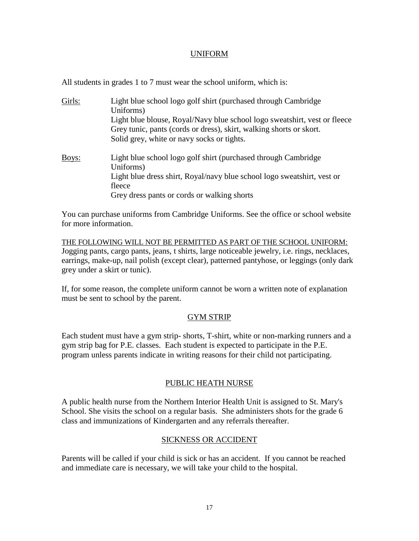#### UNIFORM

All students in grades 1 to 7 must wear the school uniform, which is:

| Girls: | Light blue school logo golf shirt (purchased through Cambridge<br>Uniforms)<br>Light blue blouse, Royal/Navy blue school logo sweatshirt, vest or fleece<br>Grey tunic, pants (cords or dress), skirt, walking shorts or skort.<br>Solid grey, white or navy socks or tights. |
|--------|-------------------------------------------------------------------------------------------------------------------------------------------------------------------------------------------------------------------------------------------------------------------------------|
| Boys:  | Light blue school logo golf shirt (purchased through Cambridge<br>Uniforms)<br>Light blue dress shirt, Royal/navy blue school logo sweatshirt, vest or<br>fleece<br>Grey dress pants or cords or walking shorts                                                               |

You can purchase uniforms from Cambridge Uniforms. See the office or school website for more information.

THE FOLLOWING WILL NOT BE PERMITTED AS PART OF THE SCHOOL UNIFORM: Jogging pants, cargo pants, jeans, t shirts, large noticeable jewelry, i.e. rings, necklaces, earrings, make-up, nail polish (except clear), patterned pantyhose, or leggings (only dark grey under a skirt or tunic).

If, for some reason, the complete uniform cannot be worn a written note of explanation must be sent to school by the parent.

#### GYM STRIP

Each student must have a gym strip- shorts, T-shirt, white or non-marking runners and a gym strip bag for P.E. classes. Each student is expected to participate in the P.E. program unless parents indicate in writing reasons for their child not participating.

#### PUBLIC HEATH NURSE

A public health nurse from the Northern Interior Health Unit is assigned to St. Mary's School. She visits the school on a regular basis. She administers shots for the grade 6 class and immunizations of Kindergarten and any referrals thereafter.

#### SICKNESS OR ACCIDENT

Parents will be called if your child is sick or has an accident. If you cannot be reached and immediate care is necessary, we will take your child to the hospital.